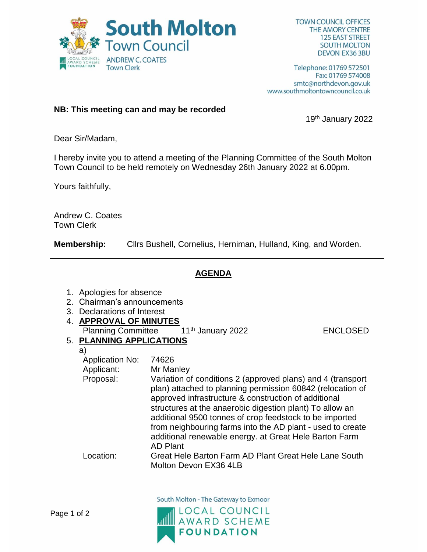

**TOWN COUNCIL OFFICES THE AMORY CENTRE 125 EAST STREET SOUTH MOLTON** DEVON EX36 3BU

Telephone: 01769 572501 Fax: 01769 574008 smtc@northdevon.gov.uk www.southmoltontowncouncil.co.uk

## **NB: This meeting can and may be recorded**

19th January 2022

Dear Sir/Madam,

I hereby invite you to attend a meeting of the Planning Committee of the South Molton Town Council to be held remotely on Wednesday 26th January 2022 at 6.00pm.

Yours faithfully,

Andrew C. Coates Town Clerk

**Membership:** Cllrs Bushell, Cornelius, Herniman, Hulland, King, and Worden.

## **AGENDA**

- 1. Apologies for absence
- 2. Chairman's announcements
- 3. Declarations of Interest
- 4. **APPROVAL OF MINUTES**
	- Planning Committee 11<sup>th</sup> January 2022 ENCLOSED

## 5. **PLANNING APPLICATIONS**

a)

| <b>Application No:</b> | 74626                                                                                                                                                                                                                                                                                                                                                                                                                                               |
|------------------------|-----------------------------------------------------------------------------------------------------------------------------------------------------------------------------------------------------------------------------------------------------------------------------------------------------------------------------------------------------------------------------------------------------------------------------------------------------|
| Applicant:             | Mr Manley                                                                                                                                                                                                                                                                                                                                                                                                                                           |
| Proposal:              | Variation of conditions 2 (approved plans) and 4 (transport<br>plan) attached to planning permission 60842 (relocation of<br>approved infrastructure & construction of additional<br>structures at the anaerobic digestion plant) To allow an<br>additional 9500 tonnes of crop feedstock to be imported<br>from neighbouring farms into the AD plant - used to create<br>additional renewable energy. at Great Hele Barton Farm<br><b>AD Plant</b> |
| Location:              | Great Hele Barton Farm AD Plant Great Hele Lane South                                                                                                                                                                                                                                                                                                                                                                                               |
|                        | Molton Devon EX36 4LB                                                                                                                                                                                                                                                                                                                                                                                                                               |

South Molton - The Gateway to Exmoor